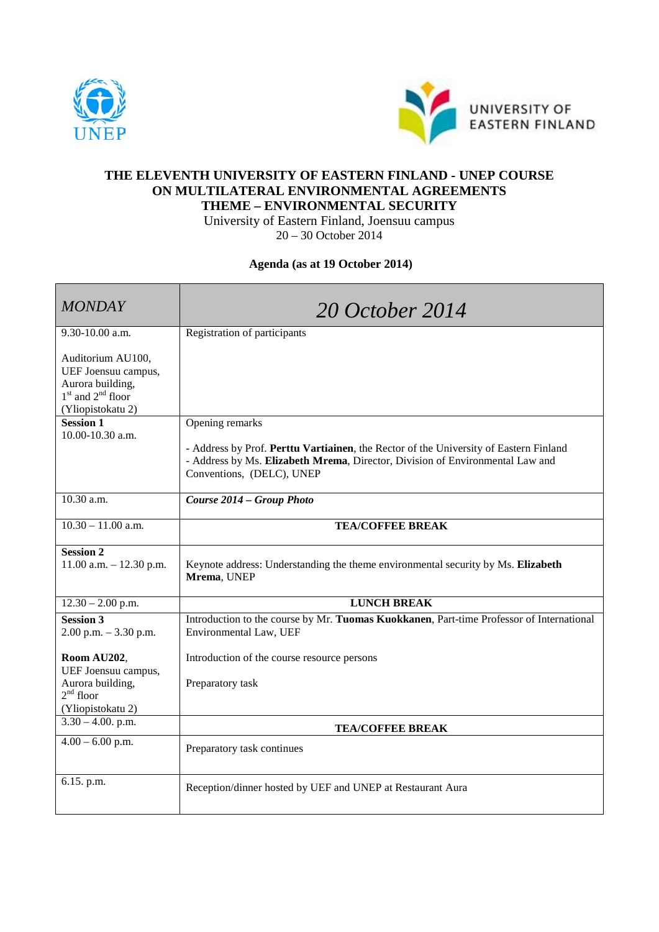



## **THE ELEVENTH UNIVERSITY OF EASTERN FINLAND - UNEP COURSE ON MULTILATERAL ENVIRONMENTAL AGREEMENTS THEME – ENVIRONMENTAL SECURITY**

University of Eastern Finland, Joensuu campus 20 – 30 October 2014

**Agenda (as at 19 October 2014)**

| <b>MONDAY</b>                                                                                              | 20 October 2014                                                                                                                                                                                     |
|------------------------------------------------------------------------------------------------------------|-----------------------------------------------------------------------------------------------------------------------------------------------------------------------------------------------------|
| 9.30-10.00 a.m.                                                                                            | Registration of participants                                                                                                                                                                        |
| Auditorium AU100,<br>UEF Joensuu campus,<br>Aurora building,<br>$1st$ and $2nd$ floor<br>(Yliopistokatu 2) |                                                                                                                                                                                                     |
| <b>Session 1</b>                                                                                           | Opening remarks                                                                                                                                                                                     |
| 10.00-10.30 a.m.                                                                                           | - Address by Prof. Perttu Vartiainen, the Rector of the University of Eastern Finland<br>- Address by Ms. Elizabeth Mrema, Director, Division of Environmental Law and<br>Conventions, (DELC), UNEP |
| 10.30 a.m.                                                                                                 | Course 2014 - Group Photo                                                                                                                                                                           |
| $10.30 - 11.00$ a.m.                                                                                       | <b>TEA/COFFEE BREAK</b>                                                                                                                                                                             |
| <b>Session 2</b><br>$11.00$ a.m. $- 12.30$ p.m.                                                            | Keynote address: Understanding the theme environmental security by Ms. Elizabeth<br>Mrema, UNEP                                                                                                     |
| $12.30 - 2.00$ p.m.                                                                                        | <b>LUNCH BREAK</b>                                                                                                                                                                                  |
| Session $3$<br>$2.00$ p.m. $-3.30$ p.m.                                                                    | Introduction to the course by Mr. Tuomas Kuokkanen, Part-time Professor of International<br>Environmental Law, UEF                                                                                  |
| Room AU202,<br>UEF Joensuu campus,<br>Aurora building,<br>$2nd$ floor<br>(Yliopistokatu 2)                 | Introduction of the course resource persons<br>Preparatory task                                                                                                                                     |
| $3.30 - 4.00$ . p.m.                                                                                       | <b>TEA/COFFEE BREAK</b>                                                                                                                                                                             |
| $4.00 - 6.00$ p.m.                                                                                         | Preparatory task continues                                                                                                                                                                          |
| 6.15. p.m.                                                                                                 | Reception/dinner hosted by UEF and UNEP at Restaurant Aura                                                                                                                                          |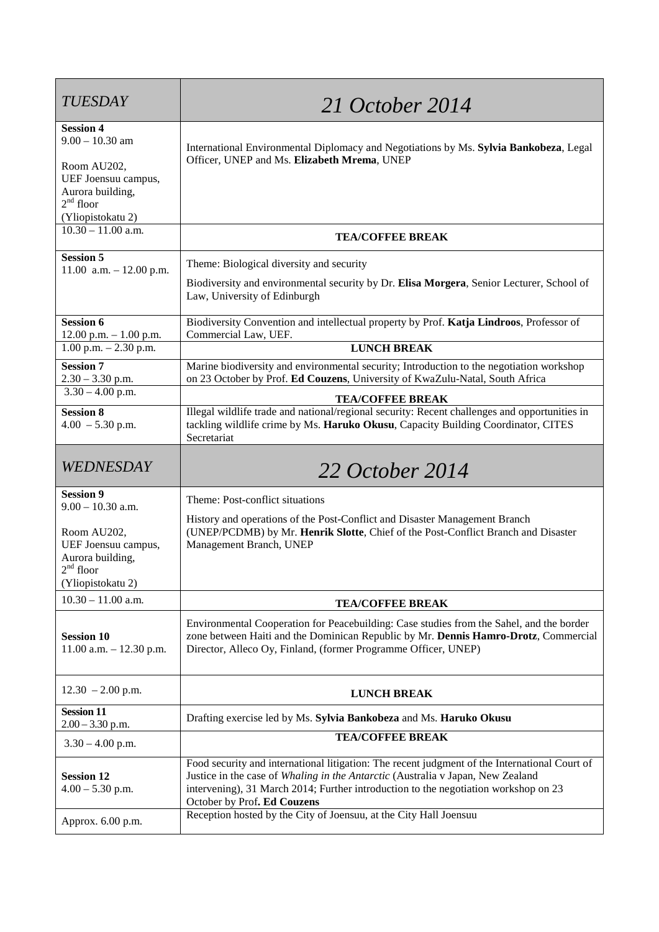| <b>TUESDAY</b>                                                                                                                      | 21 October 2014                                                                                                                                                                                                                                                                                                                                                             |
|-------------------------------------------------------------------------------------------------------------------------------------|-----------------------------------------------------------------------------------------------------------------------------------------------------------------------------------------------------------------------------------------------------------------------------------------------------------------------------------------------------------------------------|
| <b>Session 4</b><br>$9.00 - 10.30$ am<br>Room AU202,<br>UEF Joensuu campus,<br>Aurora building,<br>$2nd$ floor<br>(Yliopistokatu 2) | International Environmental Diplomacy and Negotiations by Ms. Sylvia Bankobeza, Legal<br>Officer, UNEP and Ms. Elizabeth Mrema, UNEP                                                                                                                                                                                                                                        |
| $10.30 - 11.00$ a.m.                                                                                                                | <b>TEA/COFFEE BREAK</b>                                                                                                                                                                                                                                                                                                                                                     |
| <b>Session 5</b><br>11.00 a.m. $- 12.00$ p.m.                                                                                       | Theme: Biological diversity and security<br>Biodiversity and environmental security by Dr. Elisa Morgera, Senior Lecturer, School of<br>Law, University of Edinburgh                                                                                                                                                                                                        |
| <b>Session 6</b><br>$12.00$ p.m. $-1.00$ p.m.                                                                                       | Biodiversity Convention and intellectual property by Prof. Katja Lindroos, Professor of<br>Commercial Law, UEF.                                                                                                                                                                                                                                                             |
| $1.00$ p.m. $- 2.30$ p.m.                                                                                                           | <b>LUNCH BREAK</b>                                                                                                                                                                                                                                                                                                                                                          |
| <b>Session 7</b><br>$2.30 - 3.30$ p.m.                                                                                              | Marine biodiversity and environmental security; Introduction to the negotiation workshop<br>on 23 October by Prof. Ed Couzens, University of KwaZulu-Natal, South Africa                                                                                                                                                                                                    |
| $3.30 - 4.00$ p.m.                                                                                                                  | <b>TEA/COFFEE BREAK</b>                                                                                                                                                                                                                                                                                                                                                     |
| <b>Session 8</b><br>$4.00 - 5.30$ p.m.                                                                                              | Illegal wildlife trade and national/regional security: Recent challenges and opportunities in<br>tackling wildlife crime by Ms. Haruko Okusu, Capacity Building Coordinator, CITES<br>Secretariat                                                                                                                                                                           |
|                                                                                                                                     |                                                                                                                                                                                                                                                                                                                                                                             |
| WEDNESDAY                                                                                                                           | 22 October 2014                                                                                                                                                                                                                                                                                                                                                             |
| <b>Session 9</b><br>$9.00 - 10.30$ a.m.<br>Room AU202,<br>UEF Joensuu campus,<br>Aurora building,<br>$2nd$ floor                    | Theme: Post-conflict situations<br>History and operations of the Post-Conflict and Disaster Management Branch<br>(UNEP/PCDMB) by Mr. Henrik Slotte, Chief of the Post-Conflict Branch and Disaster<br>Management Branch, UNEP                                                                                                                                               |
| (Yliopistokatu 2)<br>$10.30 - 11.00$ a.m.                                                                                           |                                                                                                                                                                                                                                                                                                                                                                             |
| <b>Session 10</b><br>11.00 a.m. - 12.30 p.m.                                                                                        | <b>TEA/COFFEE BREAK</b><br>Environmental Cooperation for Peacebuilding: Case studies from the Sahel, and the border<br>zone between Haiti and the Dominican Republic by Mr. Dennis Hamro-Drotz, Commercial<br>Director, Alleco Oy, Finland, (former Programme Officer, UNEP)                                                                                                |
| $12.30 - 2.00$ p.m.                                                                                                                 | <b>LUNCH BREAK</b>                                                                                                                                                                                                                                                                                                                                                          |
| <b>Session 11</b><br>$2.00 - 3.30$ p.m.                                                                                             | Drafting exercise led by Ms. Sylvia Bankobeza and Ms. Haruko Okusu                                                                                                                                                                                                                                                                                                          |
| $3.30 - 4.00$ p.m.                                                                                                                  | <b>TEA/COFFEE BREAK</b>                                                                                                                                                                                                                                                                                                                                                     |
| <b>Session 12</b><br>$4.00 - 5.30$ p.m.                                                                                             | Food security and international litigation: The recent judgment of the International Court of<br>Justice in the case of Whaling in the Antarctic (Australia v Japan, New Zealand<br>intervening), 31 March 2014; Further introduction to the negotiation workshop on 23<br>October by Prof. Ed Couzens<br>Reception hosted by the City of Joensuu, at the City Hall Joensuu |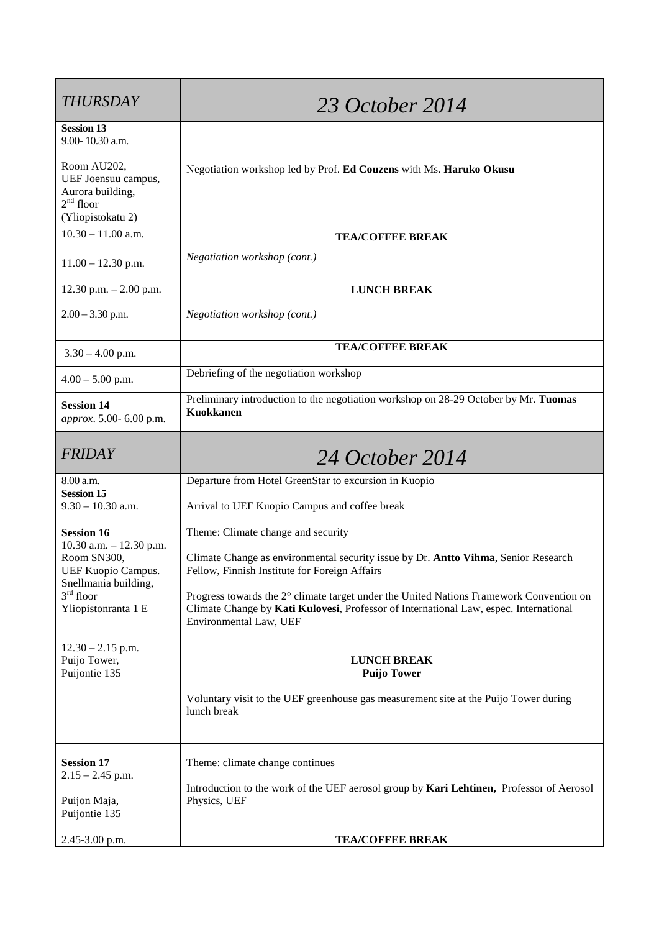| <b>THURSDAY</b>                                                       | 23 October 2014                                                                                                                                                                                            |
|-----------------------------------------------------------------------|------------------------------------------------------------------------------------------------------------------------------------------------------------------------------------------------------------|
| <b>Session 13</b><br>9.00-10.30 a.m.                                  |                                                                                                                                                                                                            |
| Room AU202,<br>UEF Joensuu campus,<br>Aurora building,<br>$2nd$ floor | Negotiation workshop led by Prof. Ed Couzens with Ms. Haruko Okusu                                                                                                                                         |
| (Yliopistokatu 2)<br>$10.30 - 11.00$ a.m.                             |                                                                                                                                                                                                            |
|                                                                       | <b>TEA/COFFEE BREAK</b>                                                                                                                                                                                    |
| $11.00 - 12.30$ p.m.                                                  | Negotiation workshop (cont.)                                                                                                                                                                               |
| 12.30 p.m. $- 2.00$ p.m.                                              | <b>LUNCH BREAK</b>                                                                                                                                                                                         |
| $2.00 - 3.30$ p.m.                                                    | Negotiation workshop (cont.)                                                                                                                                                                               |
| $3.30 - 4.00$ p.m.                                                    | <b>TEA/COFFEE BREAK</b>                                                                                                                                                                                    |
| $4.00 - 5.00$ p.m.                                                    | Debriefing of the negotiation workshop                                                                                                                                                                     |
| <b>Session 14</b><br>approx. 5.00-6.00 p.m.                           | Preliminary introduction to the negotiation workshop on 28-29 October by Mr. Tuomas<br><b>Kuokkanen</b>                                                                                                    |
| <b>FRIDAY</b>                                                         | 24 October 2014                                                                                                                                                                                            |
| 8.00 a.m.<br><b>Session 15</b>                                        | Departure from Hotel GreenStar to excursion in Kuopio                                                                                                                                                      |
| $9.30 - 10.30$ a.m.                                                   | Arrival to UEF Kuopio Campus and coffee break                                                                                                                                                              |
| <b>Session 16</b><br>10.30 a.m. $- 12.30$ p.m.                        | Theme: Climate change and security                                                                                                                                                                         |
| Room SN300,<br><b>UEF Kuopio Campus.</b>                              | Climate Change as environmental security issue by Dr. Antto Vihma, Senior Research<br>Fellow, Finnish Institute for Foreign Affairs                                                                        |
| Snellmania building,<br>$3rd$ floor<br>Yliopistonranta 1 E            | Progress towards the 2° climate target under the United Nations Framework Convention on<br>Climate Change by Kati Kulovesi, Professor of International Law, espec. International<br>Environmental Law, UEF |
| $12.30 - 2.15$ p.m.<br>Puijo Tower,<br>Puijontie 135                  | <b>LUNCH BREAK</b><br><b>Puijo Tower</b>                                                                                                                                                                   |
|                                                                       | Voluntary visit to the UEF greenhouse gas measurement site at the Puijo Tower during<br>lunch break                                                                                                        |
| <b>Session 17</b>                                                     | Theme: climate change continues                                                                                                                                                                            |
| $2.15 - 2.45$ p.m.                                                    | Introduction to the work of the UEF aerosol group by Kari Lehtinen, Professor of Aerosol                                                                                                                   |
| Puijon Maja,<br>Puijontie 135                                         | Physics, UEF                                                                                                                                                                                               |
| 2.45-3.00 p.m.                                                        | <b>TEA/COFFEE BREAK</b>                                                                                                                                                                                    |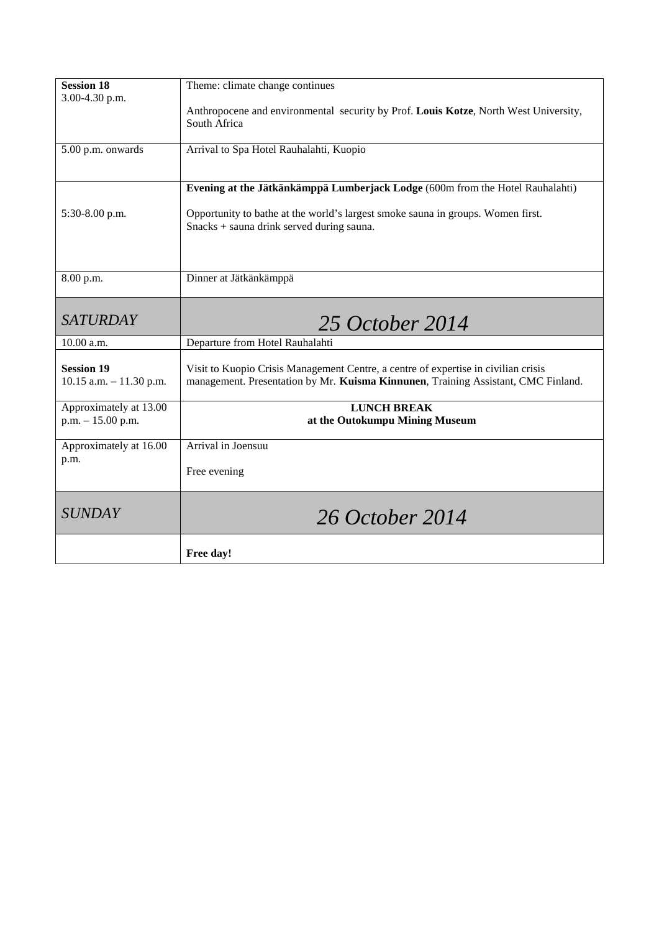| <b>Session 18</b><br>3.00-4.30 p.m.           | Theme: climate change continues                                                                                              |
|-----------------------------------------------|------------------------------------------------------------------------------------------------------------------------------|
|                                               | Anthropocene and environmental security by Prof. Louis Kotze, North West University,<br>South Africa                         |
| 5.00 p.m. onwards                             | Arrival to Spa Hotel Rauhalahti, Kuopio                                                                                      |
|                                               | Evening at the Jätkänkämppä Lumberjack Lodge (600m from the Hotel Rauhalahti)                                                |
| 5:30-8.00 p.m.                                | Opportunity to bathe at the world's largest smoke sauna in groups. Women first.<br>Snacks + sauna drink served during sauna. |
| 8.00 p.m.                                     | Dinner at Jätkänkämppä                                                                                                       |
| <b>SATURDAY</b>                               | 25 October 2014                                                                                                              |
| 10.00 a.m.                                    | Departure from Hotel Rauhalahti                                                                                              |
| <b>Session 19</b>                             | Visit to Kuopio Crisis Management Centre, a centre of expertise in civilian crisis                                           |
| $10.15$ a.m. $- 11.30$ p.m.                   | management. Presentation by Mr. Kuisma Kinnunen, Training Assistant, CMC Finland.                                            |
| Approximately at 13.00<br>$p.m. - 15.00 p.m.$ | <b>LUNCH BREAK</b><br>at the Outokumpu Mining Museum                                                                         |
| Approximately at 16.00                        | Arrival in Joensuu                                                                                                           |
| p.m.                                          | Free evening                                                                                                                 |
| <b>SUNDAY</b>                                 | 26 October 2014                                                                                                              |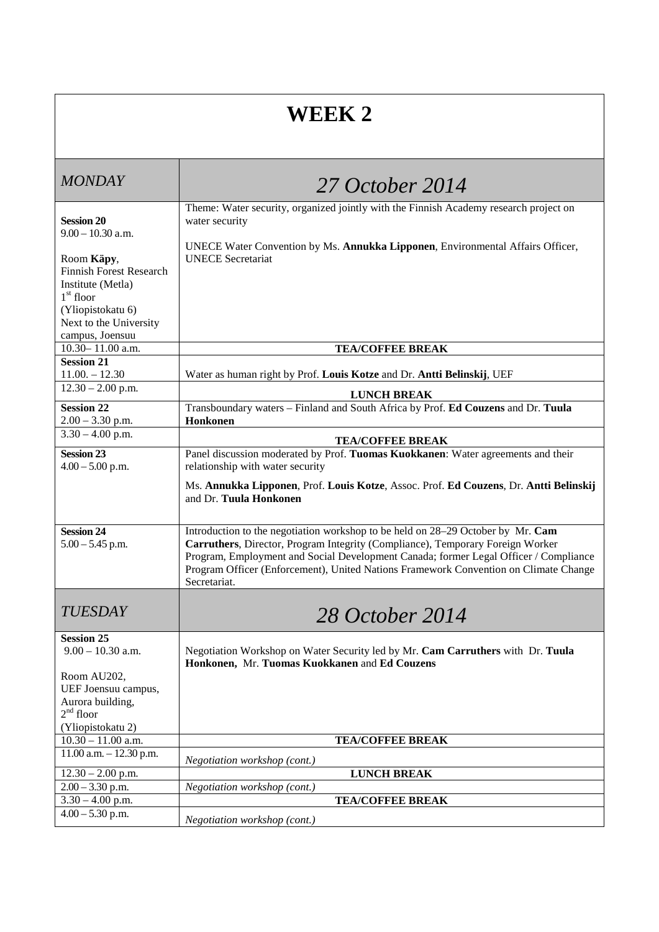## **WEEK 2**

| <b>MONDAY</b>                               | 27 October 2014                                                                                                                                                              |
|---------------------------------------------|------------------------------------------------------------------------------------------------------------------------------------------------------------------------------|
|                                             | Theme: Water security, organized jointly with the Finnish Academy research project on                                                                                        |
| <b>Session 20</b><br>$9.00 - 10.30$ a.m.    | water security                                                                                                                                                               |
|                                             | UNECE Water Convention by Ms. Annukka Lipponen, Environmental Affairs Officer,                                                                                               |
| Room Käpy,                                  | <b>UNECE</b> Secretariat                                                                                                                                                     |
| <b>Finnish Forest Research</b>              |                                                                                                                                                                              |
| Institute (Metla)                           |                                                                                                                                                                              |
| $1st$ floor                                 |                                                                                                                                                                              |
| (Yliopistokatu 6)<br>Next to the University |                                                                                                                                                                              |
| campus, Joensuu                             |                                                                                                                                                                              |
| 10.30-11.00 a.m.                            | <b>TEA/COFFEE BREAK</b>                                                                                                                                                      |
| <b>Session 21</b>                           |                                                                                                                                                                              |
| $11.00 - 12.30$                             | Water as human right by Prof. Louis Kotze and Dr. Antti Belinskij, UEF                                                                                                       |
| $\overline{12.30} - 2.00$ p.m.              | <b>LUNCH BREAK</b>                                                                                                                                                           |
| <b>Session 22</b>                           | Transboundary waters - Finland and South Africa by Prof. Ed Couzens and Dr. Tuula                                                                                            |
| $2.00 - 3.30$ p.m.                          | Honkonen                                                                                                                                                                     |
| $3.30 - 4.00$ p.m.                          | <b>TEA/COFFEE BREAK</b>                                                                                                                                                      |
| <b>Session 23</b>                           | Panel discussion moderated by Prof. Tuomas Kuokkanen: Water agreements and their                                                                                             |
| $4.00 - 5.00$ p.m.                          | relationship with water security                                                                                                                                             |
|                                             | Ms. Annukka Lipponen, Prof. Louis Kotze, Assoc. Prof. Ed Couzens, Dr. Antti Belinskij<br>and Dr. Tuula Honkonen                                                              |
| <b>Session 24</b>                           | Introduction to the negotiation workshop to be held on 28–29 October by Mr. Cam                                                                                              |
| $5.00 - 5.45$ p.m.                          | Carruthers, Director, Program Integrity (Compliance), Temporary Foreign Worker                                                                                               |
|                                             | Program, Employment and Social Development Canada; former Legal Officer / Compliance<br>Program Officer (Enforcement), United Nations Framework Convention on Climate Change |
|                                             | Secretariat.                                                                                                                                                                 |
|                                             |                                                                                                                                                                              |
| <b>TUESDAY</b>                              | 28 October 2014                                                                                                                                                              |
| <b>Session 25</b>                           |                                                                                                                                                                              |
| $9.00 - 10.30$ a.m.                         | Negotiation Workshop on Water Security led by Mr. Cam Carruthers with Dr. Tuula<br>Honkonen, Mr. Tuomas Kuokkanen and Ed Couzens                                             |
| Room AU202,                                 |                                                                                                                                                                              |
| UEF Joensuu campus,                         |                                                                                                                                                                              |
| Aurora building,                            |                                                                                                                                                                              |
| $2nd$ floor                                 |                                                                                                                                                                              |
| (Yliopistokatu 2)<br>$10.30 - 11.00$ a.m.   | <b>TEA/COFFEE BREAK</b>                                                                                                                                                      |
| $11.00$ a.m. $- 12.30$ p.m.                 |                                                                                                                                                                              |
| $12.30 - 2.00$ p.m.                         | Negotiation workshop (cont.)<br><b>LUNCH BREAK</b>                                                                                                                           |
| $2.00 - 3.30$ p.m.                          | Negotiation workshop (cont.)                                                                                                                                                 |
| $3.30 - 4.00$ p.m.                          | <b>TEA/COFFEE BREAK</b>                                                                                                                                                      |
| $4.00 - 5.30$ p.m.                          |                                                                                                                                                                              |
|                                             | Negotiation workshop (cont.)                                                                                                                                                 |